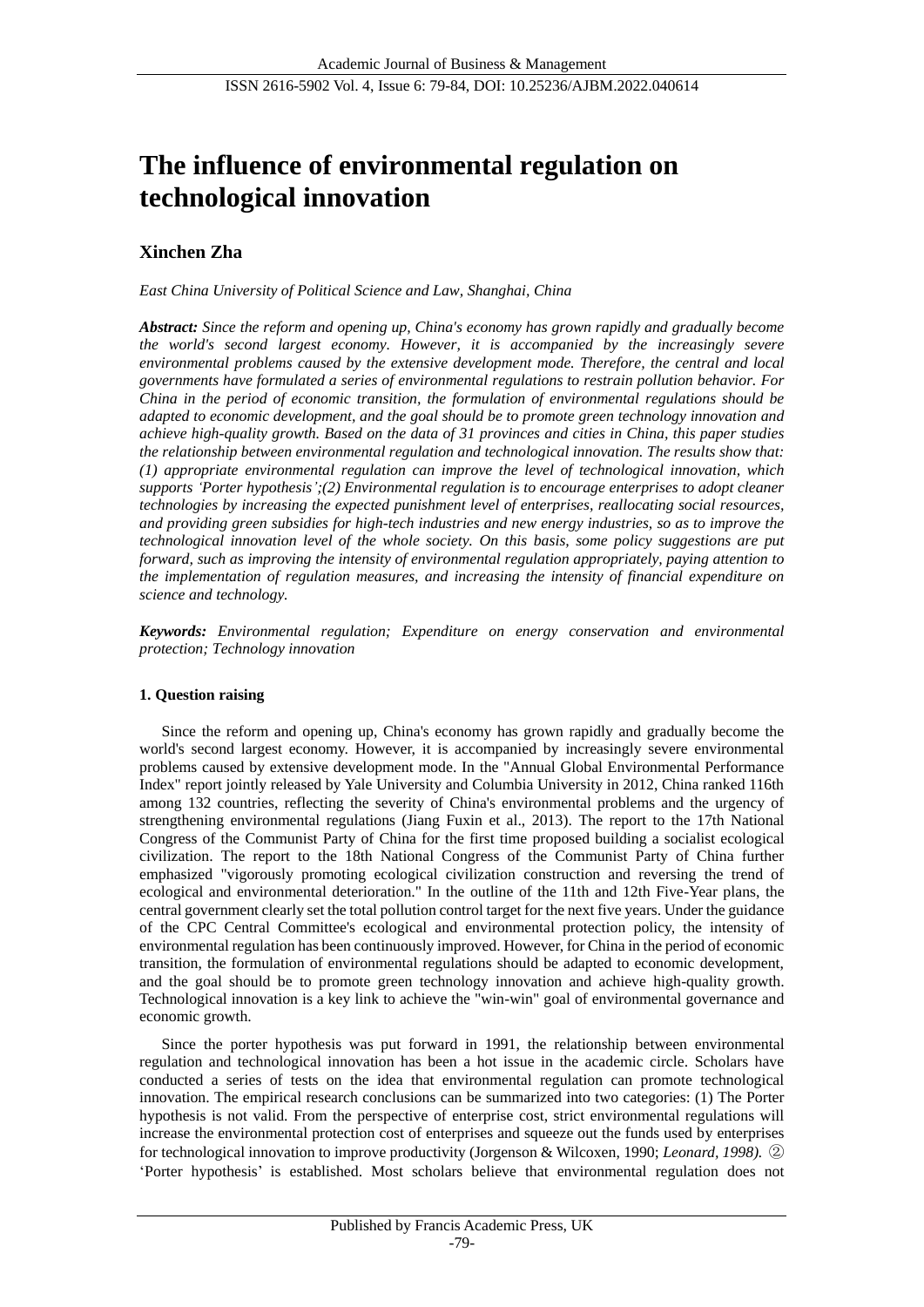# **The influence of environmental regulation on technological innovation**

## **Xinchen Zha**

*East China University of Political Science and Law, Shanghai, China*

*Abstract: Since the reform and opening up, China's economy has grown rapidly and gradually become the world's second largest economy. However, it is accompanied by the increasingly severe environmental problems caused by the extensive development mode. Therefore, the central and local governments have formulated a series of environmental regulations to restrain pollution behavior. For China in the period of economic transition, the formulation of environmental regulations should be adapted to economic development, and the goal should be to promote green technology innovation and achieve high-quality growth. Based on the data of 31 provinces and cities in China, this paper studies the relationship between environmental regulation and technological innovation. The results show that: (1) appropriate environmental regulation can improve the level of technological innovation, which supports 'Porter hypothesis';(2) Environmental regulation is to encourage enterprises to adopt cleaner technologies by increasing the expected punishment level of enterprises, reallocating social resources, and providing green subsidies for high-tech industries and new energy industries, so as to improve the technological innovation level of the whole society. On this basis, some policy suggestions are put forward, such as improving the intensity of environmental regulation appropriately, paying attention to the implementation of regulation measures, and increasing the intensity of financial expenditure on science and technology.*

*Keywords: Environmental regulation; Expenditure on energy conservation and environmental protection; Technology innovation*

## **1. Question raising**

Since the reform and opening up, China's economy has grown rapidly and gradually become the world's second largest economy. However, it is accompanied by increasingly severe environmental problems caused by extensive development mode. In the "Annual Global Environmental Performance Index" report jointly released by Yale University and Columbia University in 2012, China ranked 116th among 132 countries, reflecting the severity of China's environmental problems and the urgency of strengthening environmental regulations (Jiang Fuxin et al., 2013). The report to the 17th National Congress of the Communist Party of China for the first time proposed building a socialist ecological civilization. The report to the 18th National Congress of the Communist Party of China further emphasized "vigorously promoting ecological civilization construction and reversing the trend of ecological and environmental deterioration." In the outline of the 11th and 12th Five-Year plans, the central government clearly set the total pollution control target for the next five years. Under the guidance of the CPC Central Committee's ecological and environmental protection policy, the intensity of environmental regulation has been continuously improved. However, for China in the period of economic transition, the formulation of environmental regulations should be adapted to economic development, and the goal should be to promote green technology innovation and achieve high-quality growth. Technological innovation is a key link to achieve the "win-win" goal of environmental governance and economic growth.

Since the porter hypothesis was put forward in 1991, the relationship between environmental regulation and technological innovation has been a hot issue in the academic circle. Scholars have conducted a series of tests on the idea that environmental regulation can promote technological innovation. The empirical research conclusions can be summarized into two categories: (1) The Porter hypothesis is not valid. From the perspective of enterprise cost, strict environmental regulations will increase the environmental protection cost of enterprises and squeeze out the funds used by enterprises for technological innovation to improve productivity (Jorgenson & Wilcoxen, 1990; *Leonard, 1998).* ② 'Porter hypothesis' is established. Most scholars believe that environmental regulation does not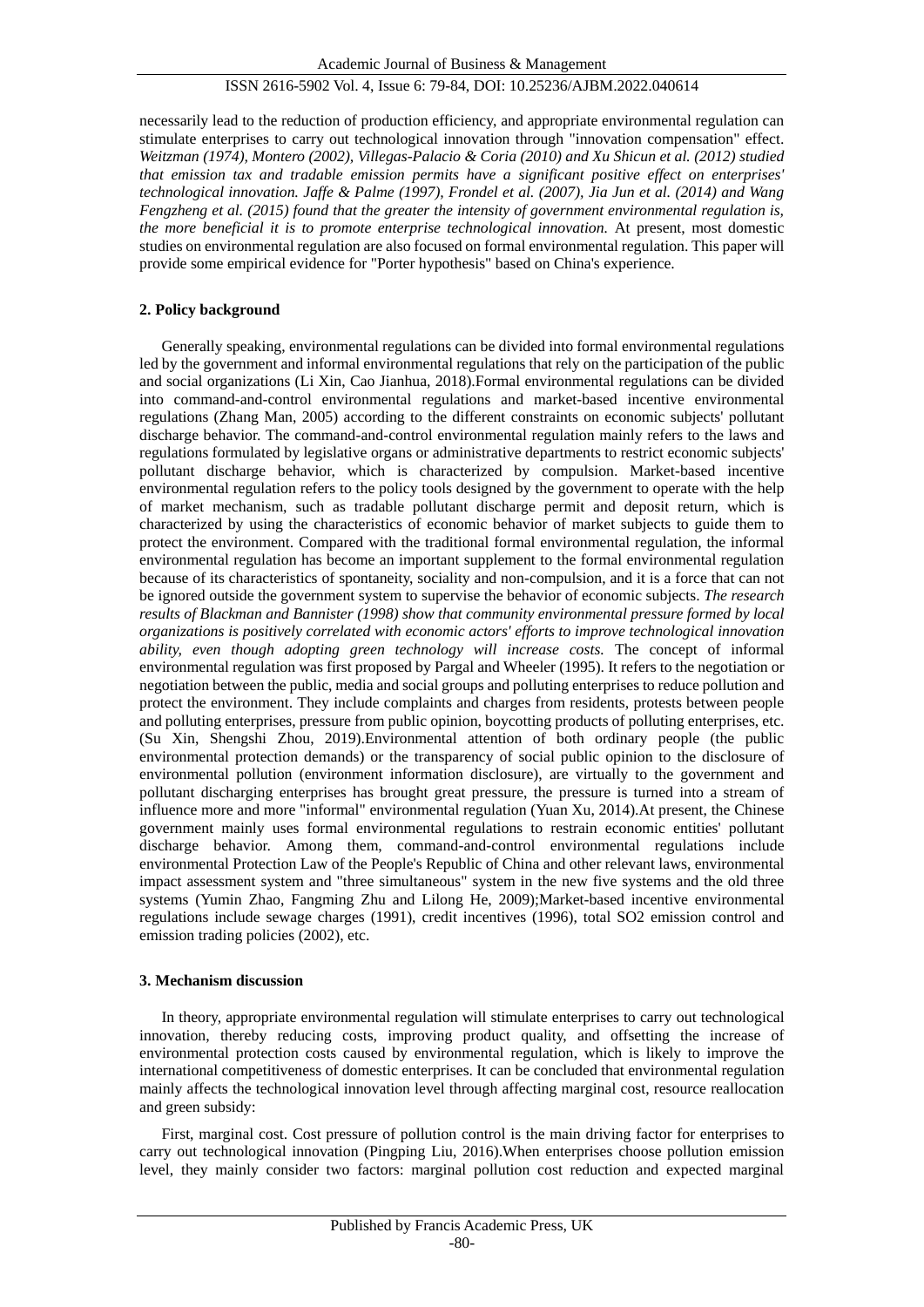necessarily lead to the reduction of production efficiency, and appropriate environmental regulation can stimulate enterprises to carry out technological innovation through "innovation compensation" effect. *Weitzman (1974), Montero (2002), Villegas-Palacio & Coria (2010) and Xu Shicun et al. (2012) studied that emission tax and tradable emission permits have a significant positive effect on enterprises' technological innovation. Jaffe & Palme (1997), Frondel et al. (2007), Jia Jun et al. (2014) and Wang Fengzheng et al. (2015) found that the greater the intensity of government environmental regulation is, the more beneficial it is to promote enterprise technological innovation.* At present, most domestic studies on environmental regulation are also focused on formal environmental regulation. This paper will provide some empirical evidence for "Porter hypothesis" based on China's experience.

## **2. Policy background**

Generally speaking, environmental regulations can be divided into formal environmental regulations led by the government and informal environmental regulations that rely on the participation of the public and social organizations (Li Xin, Cao Jianhua, 2018).Formal environmental regulations can be divided into command-and-control environmental regulations and market-based incentive environmental regulations (Zhang Man, 2005) according to the different constraints on economic subjects' pollutant discharge behavior. The command-and-control environmental regulation mainly refers to the laws and regulations formulated by legislative organs or administrative departments to restrict economic subjects' pollutant discharge behavior, which is characterized by compulsion. Market-based incentive environmental regulation refers to the policy tools designed by the government to operate with the help of market mechanism, such as tradable pollutant discharge permit and deposit return, which is characterized by using the characteristics of economic behavior of market subjects to guide them to protect the environment. Compared with the traditional formal environmental regulation, the informal environmental regulation has become an important supplement to the formal environmental regulation because of its characteristics of spontaneity, sociality and non-compulsion, and it is a force that can not be ignored outside the government system to supervise the behavior of economic subjects. *The research results of Blackman and Bannister (1998) show that community environmental pressure formed by local organizations is positively correlated with economic actors' efforts to improve technological innovation ability, even though adopting green technology will increase costs.* The concept of informal environmental regulation was first proposed by Pargal and Wheeler (1995). It refers to the negotiation or negotiation between the public, media and social groups and polluting enterprises to reduce pollution and protect the environment. They include complaints and charges from residents, protests between people and polluting enterprises, pressure from public opinion, boycotting products of polluting enterprises, etc. (Su Xin, Shengshi Zhou, 2019).Environmental attention of both ordinary people (the public environmental protection demands) or the transparency of social public opinion to the disclosure of environmental pollution (environment information disclosure), are virtually to the government and pollutant discharging enterprises has brought great pressure, the pressure is turned into a stream of influence more and more "informal" environmental regulation (Yuan Xu, 2014).At present, the Chinese government mainly uses formal environmental regulations to restrain economic entities' pollutant discharge behavior. Among them, command-and-control environmental regulations include environmental Protection Law of the People's Republic of China and other relevant laws, environmental impact assessment system and "three simultaneous" system in the new five systems and the old three systems (Yumin Zhao, Fangming Zhu and Lilong He, 2009);Market-based incentive environmental regulations include sewage charges (1991), credit incentives (1996), total SO2 emission control and emission trading policies (2002), etc.

## **3. Mechanism discussion**

In theory, appropriate environmental regulation will stimulate enterprises to carry out technological innovation, thereby reducing costs, improving product quality, and offsetting the increase of environmental protection costs caused by environmental regulation, which is likely to improve the international competitiveness of domestic enterprises. It can be concluded that environmental regulation mainly affects the technological innovation level through affecting marginal cost, resource reallocation and green subsidy:

First, marginal cost. Cost pressure of pollution control is the main driving factor for enterprises to carry out technological innovation (Pingping Liu, 2016).When enterprises choose pollution emission level, they mainly consider two factors: marginal pollution cost reduction and expected marginal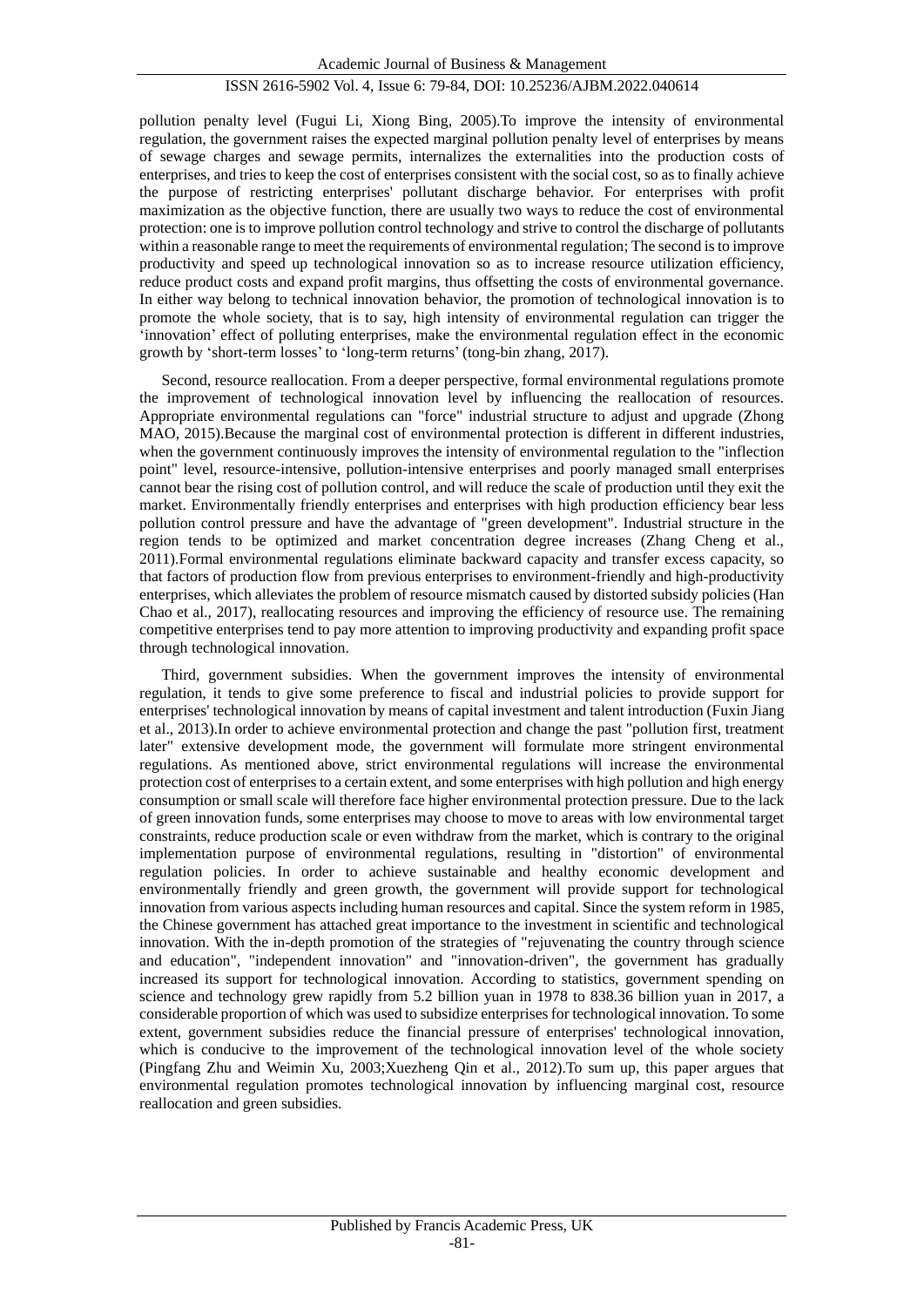pollution penalty level (Fugui Li, Xiong Bing, 2005).To improve the intensity of environmental regulation, the government raises the expected marginal pollution penalty level of enterprises by means of sewage charges and sewage permits, internalizes the externalities into the production costs of enterprises, and tries to keep the cost of enterprises consistent with the social cost, so as to finally achieve the purpose of restricting enterprises' pollutant discharge behavior. For enterprises with profit maximization as the objective function, there are usually two ways to reduce the cost of environmental protection: one is to improve pollution control technology and strive to control the discharge of pollutants within a reasonable range to meet the requirements of environmental regulation; The second is to improve productivity and speed up technological innovation so as to increase resource utilization efficiency, reduce product costs and expand profit margins, thus offsetting the costs of environmental governance. In either way belong to technical innovation behavior, the promotion of technological innovation is to promote the whole society, that is to say, high intensity of environmental regulation can trigger the 'innovation' effect of polluting enterprises, make the environmental regulation effect in the economic growth by 'short-term losses' to 'long-term returns' (tong-bin zhang, 2017).

Second, resource reallocation. From a deeper perspective, formal environmental regulations promote the improvement of technological innovation level by influencing the reallocation of resources. Appropriate environmental regulations can "force" industrial structure to adjust and upgrade (Zhong MAO, 2015).Because the marginal cost of environmental protection is different in different industries, when the government continuously improves the intensity of environmental regulation to the "inflection point" level, resource-intensive, pollution-intensive enterprises and poorly managed small enterprises cannot bear the rising cost of pollution control, and will reduce the scale of production until they exit the market. Environmentally friendly enterprises and enterprises with high production efficiency bear less pollution control pressure and have the advantage of "green development". Industrial structure in the region tends to be optimized and market concentration degree increases (Zhang Cheng et al., 2011).Formal environmental regulations eliminate backward capacity and transfer excess capacity, so that factors of production flow from previous enterprises to environment-friendly and high-productivity enterprises, which alleviates the problem of resource mismatch caused by distorted subsidy policies (Han Chao et al., 2017), reallocating resources and improving the efficiency of resource use. The remaining competitive enterprises tend to pay more attention to improving productivity and expanding profit space through technological innovation.

Third, government subsidies. When the government improves the intensity of environmental regulation, it tends to give some preference to fiscal and industrial policies to provide support for enterprises' technological innovation by means of capital investment and talent introduction (Fuxin Jiang et al., 2013).In order to achieve environmental protection and change the past "pollution first, treatment later" extensive development mode, the government will formulate more stringent environmental regulations. As mentioned above, strict environmental regulations will increase the environmental protection cost of enterprises to a certain extent, and some enterprises with high pollution and high energy consumption or small scale will therefore face higher environmental protection pressure. Due to the lack of green innovation funds, some enterprises may choose to move to areas with low environmental target constraints, reduce production scale or even withdraw from the market, which is contrary to the original implementation purpose of environmental regulations, resulting in "distortion" of environmental regulation policies. In order to achieve sustainable and healthy economic development and environmentally friendly and green growth, the government will provide support for technological innovation from various aspects including human resources and capital. Since the system reform in 1985, the Chinese government has attached great importance to the investment in scientific and technological innovation. With the in-depth promotion of the strategies of "rejuvenating the country through science and education", "independent innovation" and "innovation-driven", the government has gradually increased its support for technological innovation. According to statistics, government spending on science and technology grew rapidly from 5.2 billion yuan in 1978 to 838.36 billion yuan in 2017, a considerable proportion of which was used to subsidize enterprises for technological innovation. To some extent, government subsidies reduce the financial pressure of enterprises' technological innovation, which is conducive to the improvement of the technological innovation level of the whole society (Pingfang Zhu and Weimin Xu, 2003;Xuezheng Qin et al., 2012).To sum up, this paper argues that environmental regulation promotes technological innovation by influencing marginal cost, resource reallocation and green subsidies.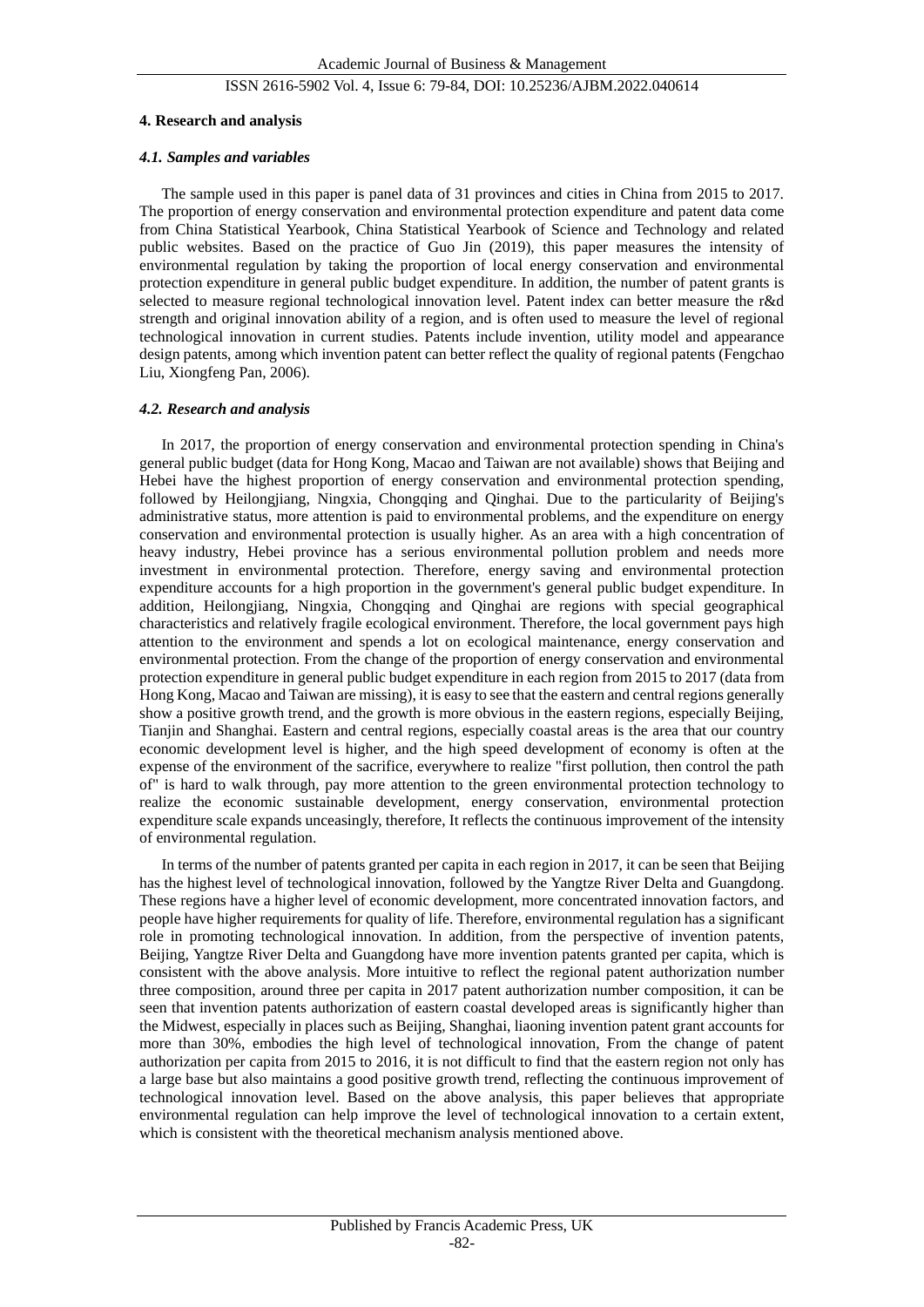#### **4. Research and analysis**

#### *4.1. Samples and variables*

The sample used in this paper is panel data of 31 provinces and cities in China from 2015 to 2017. The proportion of energy conservation and environmental protection expenditure and patent data come from China Statistical Yearbook, China Statistical Yearbook of Science and Technology and related public websites. Based on the practice of Guo Jin (2019), this paper measures the intensity of environmental regulation by taking the proportion of local energy conservation and environmental protection expenditure in general public budget expenditure. In addition, the number of patent grants is selected to measure regional technological innovation level. Patent index can better measure the r&d strength and original innovation ability of a region, and is often used to measure the level of regional technological innovation in current studies. Patents include invention, utility model and appearance design patents, among which invention patent can better reflect the quality of regional patents (Fengchao Liu, Xiongfeng Pan, 2006).

#### *4.2. Research and analysis*

In 2017, the proportion of energy conservation and environmental protection spending in China's general public budget (data for Hong Kong, Macao and Taiwan are not available) shows that Beijing and Hebei have the highest proportion of energy conservation and environmental protection spending, followed by Heilongjiang, Ningxia, Chongqing and Qinghai. Due to the particularity of Beijing's administrative status, more attention is paid to environmental problems, and the expenditure on energy conservation and environmental protection is usually higher. As an area with a high concentration of heavy industry, Hebei province has a serious environmental pollution problem and needs more investment in environmental protection. Therefore, energy saving and environmental protection expenditure accounts for a high proportion in the government's general public budget expenditure. In addition, Heilongjiang, Ningxia, Chongqing and Qinghai are regions with special geographical characteristics and relatively fragile ecological environment. Therefore, the local government pays high attention to the environment and spends a lot on ecological maintenance, energy conservation and environmental protection. From the change of the proportion of energy conservation and environmental protection expenditure in general public budget expenditure in each region from 2015 to 2017 (data from Hong Kong, Macao and Taiwan are missing), it is easy to see that the eastern and central regions generally show a positive growth trend, and the growth is more obvious in the eastern regions, especially Beijing, Tianjin and Shanghai. Eastern and central regions, especially coastal areas is the area that our country economic development level is higher, and the high speed development of economy is often at the expense of the environment of the sacrifice, everywhere to realize "first pollution, then control the path of" is hard to walk through, pay more attention to the green environmental protection technology to realize the economic sustainable development, energy conservation, environmental protection expenditure scale expands unceasingly, therefore, It reflects the continuous improvement of the intensity of environmental regulation.

In terms of the number of patents granted per capita in each region in 2017, it can be seen that Beijing has the highest level of technological innovation, followed by the Yangtze River Delta and Guangdong. These regions have a higher level of economic development, more concentrated innovation factors, and people have higher requirements for quality of life. Therefore, environmental regulation has a significant role in promoting technological innovation. In addition, from the perspective of invention patents, Beijing, Yangtze River Delta and Guangdong have more invention patents granted per capita, which is consistent with the above analysis. More intuitive to reflect the regional patent authorization number three composition, around three per capita in 2017 patent authorization number composition, it can be seen that invention patents authorization of eastern coastal developed areas is significantly higher than the Midwest, especially in places such as Beijing, Shanghai, liaoning invention patent grant accounts for more than 30%, embodies the high level of technological innovation, From the change of patent authorization per capita from 2015 to 2016, it is not difficult to find that the eastern region not only has a large base but also maintains a good positive growth trend, reflecting the continuous improvement of technological innovation level. Based on the above analysis, this paper believes that appropriate environmental regulation can help improve the level of technological innovation to a certain extent, which is consistent with the theoretical mechanism analysis mentioned above.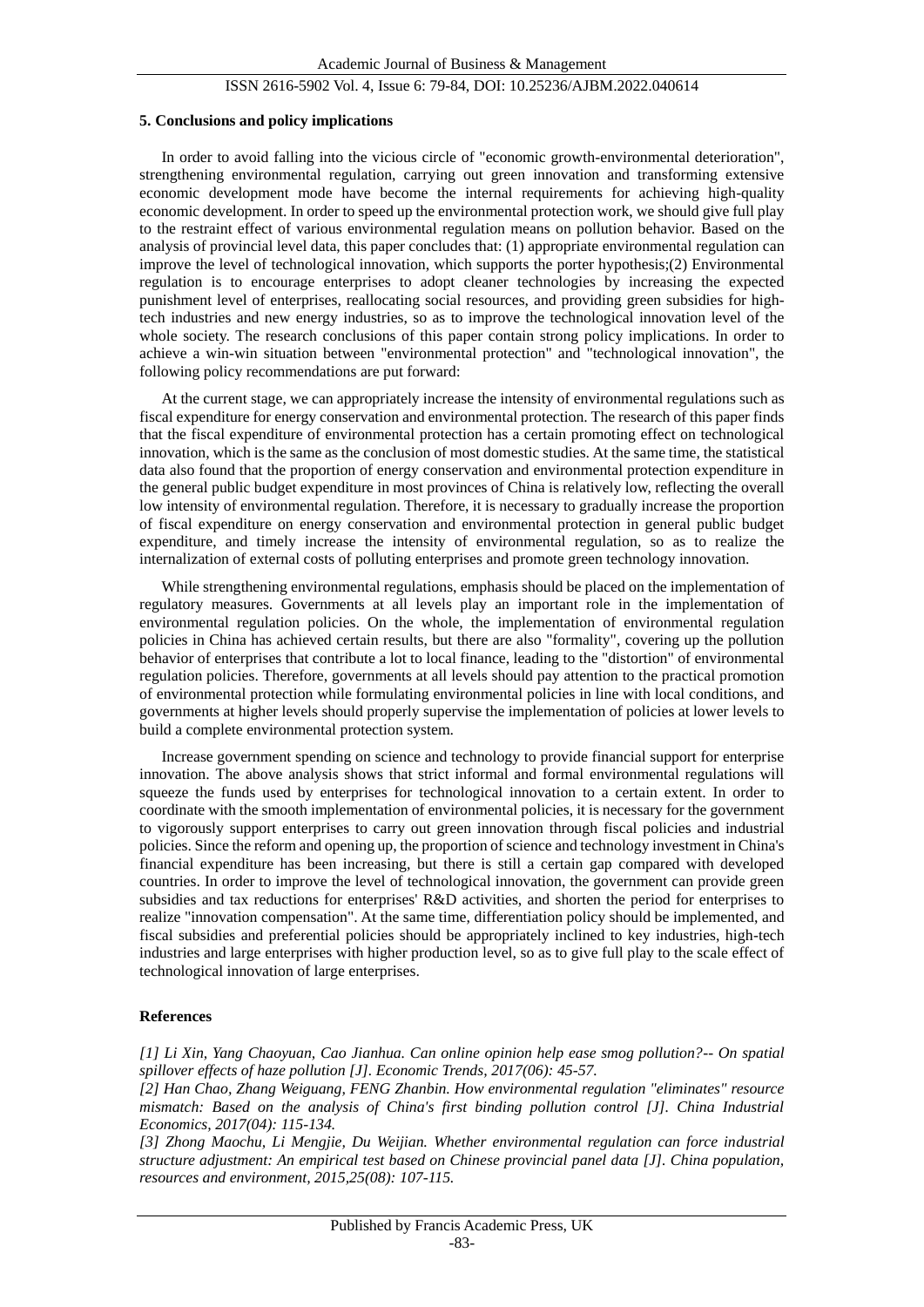#### **5. Conclusions and policy implications**

In order to avoid falling into the vicious circle of "economic growth-environmental deterioration", strengthening environmental regulation, carrying out green innovation and transforming extensive economic development mode have become the internal requirements for achieving high-quality economic development. In order to speed up the environmental protection work, we should give full play to the restraint effect of various environmental regulation means on pollution behavior. Based on the analysis of provincial level data, this paper concludes that: (1) appropriate environmental regulation can improve the level of technological innovation, which supports the porter hypothesis;(2) Environmental regulation is to encourage enterprises to adopt cleaner technologies by increasing the expected punishment level of enterprises, reallocating social resources, and providing green subsidies for hightech industries and new energy industries, so as to improve the technological innovation level of the whole society. The research conclusions of this paper contain strong policy implications. In order to achieve a win-win situation between "environmental protection" and "technological innovation", the following policy recommendations are put forward:

At the current stage, we can appropriately increase the intensity of environmental regulations such as fiscal expenditure for energy conservation and environmental protection. The research of this paper finds that the fiscal expenditure of environmental protection has a certain promoting effect on technological innovation, which is the same as the conclusion of most domestic studies. At the same time, the statistical data also found that the proportion of energy conservation and environmental protection expenditure in the general public budget expenditure in most provinces of China is relatively low, reflecting the overall low intensity of environmental regulation. Therefore, it is necessary to gradually increase the proportion of fiscal expenditure on energy conservation and environmental protection in general public budget expenditure, and timely increase the intensity of environmental regulation, so as to realize the internalization of external costs of polluting enterprises and promote green technology innovation.

While strengthening environmental regulations, emphasis should be placed on the implementation of regulatory measures. Governments at all levels play an important role in the implementation of environmental regulation policies. On the whole, the implementation of environmental regulation policies in China has achieved certain results, but there are also "formality", covering up the pollution behavior of enterprises that contribute a lot to local finance, leading to the "distortion" of environmental regulation policies. Therefore, governments at all levels should pay attention to the practical promotion of environmental protection while formulating environmental policies in line with local conditions, and governments at higher levels should properly supervise the implementation of policies at lower levels to build a complete environmental protection system.

Increase government spending on science and technology to provide financial support for enterprise innovation. The above analysis shows that strict informal and formal environmental regulations will squeeze the funds used by enterprises for technological innovation to a certain extent. In order to coordinate with the smooth implementation of environmental policies, it is necessary for the government to vigorously support enterprises to carry out green innovation through fiscal policies and industrial policies. Since the reform and opening up, the proportion of science and technology investment in China's financial expenditure has been increasing, but there is still a certain gap compared with developed countries. In order to improve the level of technological innovation, the government can provide green subsidies and tax reductions for enterprises' R&D activities, and shorten the period for enterprises to realize "innovation compensation". At the same time, differentiation policy should be implemented, and fiscal subsidies and preferential policies should be appropriately inclined to key industries, high-tech industries and large enterprises with higher production level, so as to give full play to the scale effect of technological innovation of large enterprises.

### **References**

*[1] Li Xin, Yang Chaoyuan, Cao Jianhua. Can online opinion help ease smog pollution?-- On spatial spillover effects of haze pollution [J]. Economic Trends, 2017(06): 45-57.*

*[2] Han Chao, Zhang Weiguang, FENG Zhanbin. How environmental regulation "eliminates" resource mismatch: Based on the analysis of China's first binding pollution control [J]. China Industrial Economics, 2017(04): 115-134.*

*[3] Zhong Maochu, Li Mengjie, Du Weijian. Whether environmental regulation can force industrial structure adjustment: An empirical test based on Chinese provincial panel data [J]. China population, resources and environment, 2015,25(08): 107-115.*